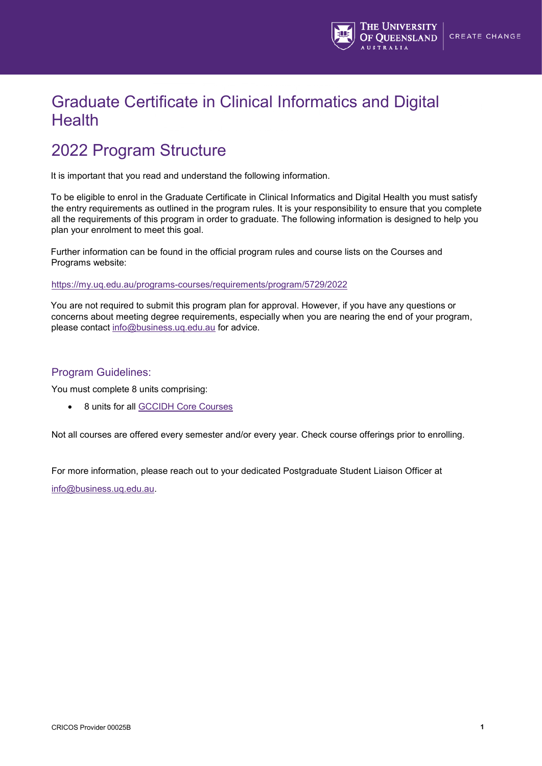

## Graduate Certificate in Clinical Informatics and Digital **Health**

## 2022 Program Structure

It is important that you read and understand the following information.

To be eligible to enrol in the Graduate Certificate in Clinical Informatics and Digital Health you must satisfy the entry requirements as outlined in the program rules. It is your responsibility to ensure that you complete all the requirements of this program in order to graduate. The following information is designed to help you plan your enrolment to meet this goal.

Further information can be found in the official program rules and course lists on the Courses and Programs website:

#### <https://my.uq.edu.au/programs-courses/requirements/program/5729/2022>

You are not required to submit this program plan for approval. However, if you have any questions or concerns about meeting degree requirements, especially when you are nearing the end of your program, please contact [info@business.uq.edu.au](mailto:info@business.uq.edu.au) for advice.

### Program Guidelines:

You must complete 8 units comprising:

• 8 units for all [GCCIDH Core Courses](https://my.uq.edu.au/programs-courses/requirements/program/5729/2022#:%7E:text=8%20units%20for%20all%20GCCIDH%20Core%20Courses)

Not all courses are offered every semester and/or every year. Check course offerings prior to enrolling.

For more information, please reach out to your dedicated Postgraduate Student Liaison Officer at [info@business.uq.edu.au.](mailto:info@business.uq.edu.au)